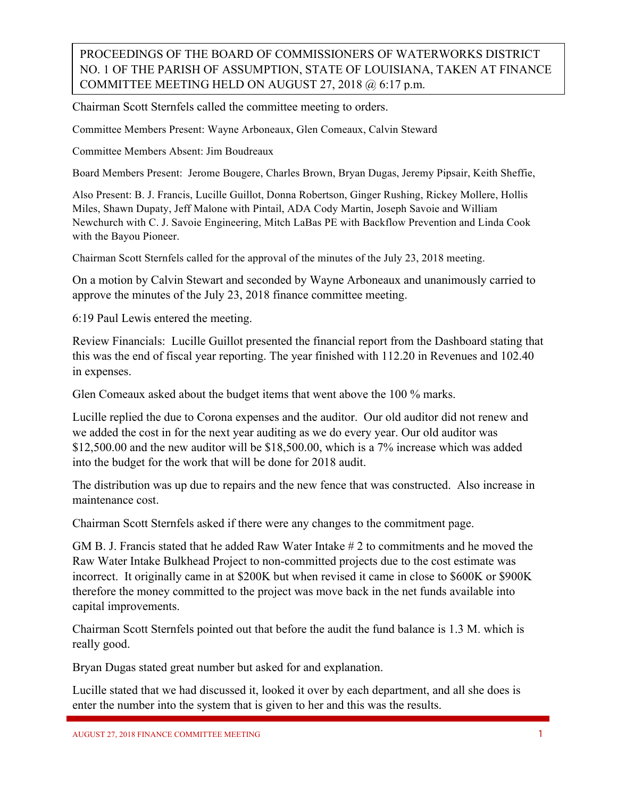## PROCEEDINGS OF THE BOARD OF COMMISSIONERS OF WATERWORKS DISTRICT NO. 1 OF THE PARISH OF ASSUMPTION, STATE OF LOUISIANA, TAKEN AT FINANCE COMMITTEE MEETING HELD ON AUGUST 27, 2018 @ 6:17 p.m.

Chairman Scott Sternfels called the committee meeting to orders.

Committee Members Present: Wayne Arboneaux, Glen Comeaux, Calvin Steward

Committee Members Absent: Jim Boudreaux

Board Members Present: Jerome Bougere, Charles Brown, Bryan Dugas, Jeremy Pipsair, Keith Sheffie,

Also Present: B. J. Francis, Lucille Guillot, Donna Robertson, Ginger Rushing, Rickey Mollere, Hollis Miles, Shawn Dupaty, Jeff Malone with Pintail, ADA Cody Martin, Joseph Savoie and William Newchurch with C. J. Savoie Engineering, Mitch LaBas PE with Backflow Prevention and Linda Cook with the Bayou Pioneer.

Chairman Scott Sternfels called for the approval of the minutes of the July 23, 2018 meeting.

On a motion by Calvin Stewart and seconded by Wayne Arboneaux and unanimously carried to approve the minutes of the July 23, 2018 finance committee meeting.

6:19 Paul Lewis entered the meeting.

Review Financials: Lucille Guillot presented the financial report from the Dashboard stating that this was the end of fiscal year reporting. The year finished with 112.20 in Revenues and 102.40 in expenses.

Glen Comeaux asked about the budget items that went above the 100 % marks.

Lucille replied the due to Corona expenses and the auditor. Our old auditor did not renew and we added the cost in for the next year auditing as we do every year. Our old auditor was \$12,500.00 and the new auditor will be \$18,500.00, which is a 7% increase which was added into the budget for the work that will be done for 2018 audit.

The distribution was up due to repairs and the new fence that was constructed. Also increase in maintenance cost.

Chairman Scott Sternfels asked if there were any changes to the commitment page.

GM B. J. Francis stated that he added Raw Water Intake # 2 to commitments and he moved the Raw Water Intake Bulkhead Project to non-committed projects due to the cost estimate was incorrect. It originally came in at \$200K but when revised it came in close to \$600K or \$900K therefore the money committed to the project was move back in the net funds available into capital improvements.

Chairman Scott Sternfels pointed out that before the audit the fund balance is 1.3 M. which is really good.

Bryan Dugas stated great number but asked for and explanation.

Lucille stated that we had discussed it, looked it over by each department, and all she does is enter the number into the system that is given to her and this was the results.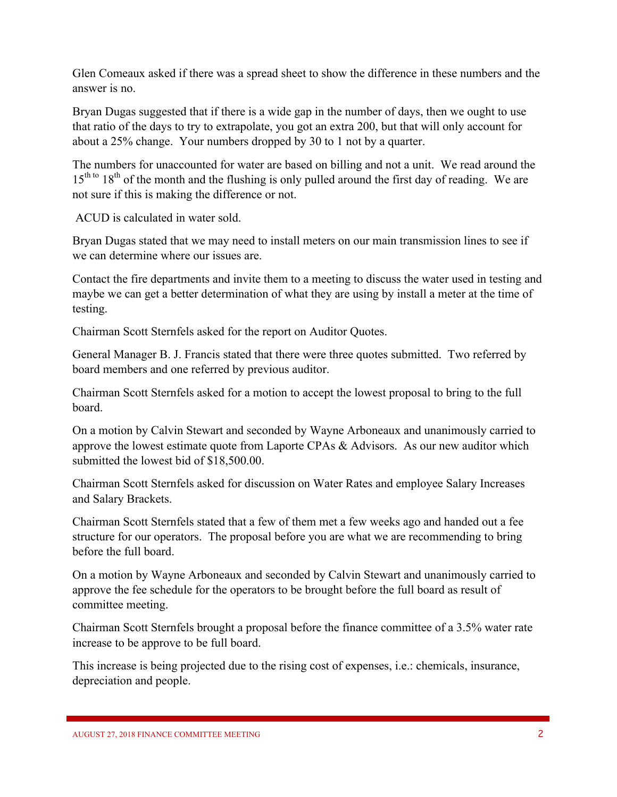Glen Comeaux asked if there was a spread sheet to show the difference in these numbers and the answer is no.

Bryan Dugas suggested that if there is a wide gap in the number of days, then we ought to use that ratio of the days to try to extrapolate, you got an extra 200, but that will only account for about a 25% change. Your numbers dropped by 30 to 1 not by a quarter.

The numbers for unaccounted for water are based on billing and not a unit. We read around the  $15<sup>th to</sup> 18<sup>th</sup>$  of the month and the flushing is only pulled around the first day of reading. We are not sure if this is making the difference or not.

ACUD is calculated in water sold.

Bryan Dugas stated that we may need to install meters on our main transmission lines to see if we can determine where our issues are.

Contact the fire departments and invite them to a meeting to discuss the water used in testing and maybe we can get a better determination of what they are using by install a meter at the time of testing.

Chairman Scott Sternfels asked for the report on Auditor Quotes.

General Manager B. J. Francis stated that there were three quotes submitted. Two referred by board members and one referred by previous auditor.

Chairman Scott Sternfels asked for a motion to accept the lowest proposal to bring to the full board.

On a motion by Calvin Stewart and seconded by Wayne Arboneaux and unanimously carried to approve the lowest estimate quote from Laporte CPAs & Advisors. As our new auditor which submitted the lowest bid of \$18,500.00.

Chairman Scott Sternfels asked for discussion on Water Rates and employee Salary Increases and Salary Brackets.

Chairman Scott Sternfels stated that a few of them met a few weeks ago and handed out a fee structure for our operators. The proposal before you are what we are recommending to bring before the full board.

On a motion by Wayne Arboneaux and seconded by Calvin Stewart and unanimously carried to approve the fee schedule for the operators to be brought before the full board as result of committee meeting.

Chairman Scott Sternfels brought a proposal before the finance committee of a 3.5% water rate increase to be approve to be full board.

This increase is being projected due to the rising cost of expenses, i.e.: chemicals, insurance, depreciation and people.